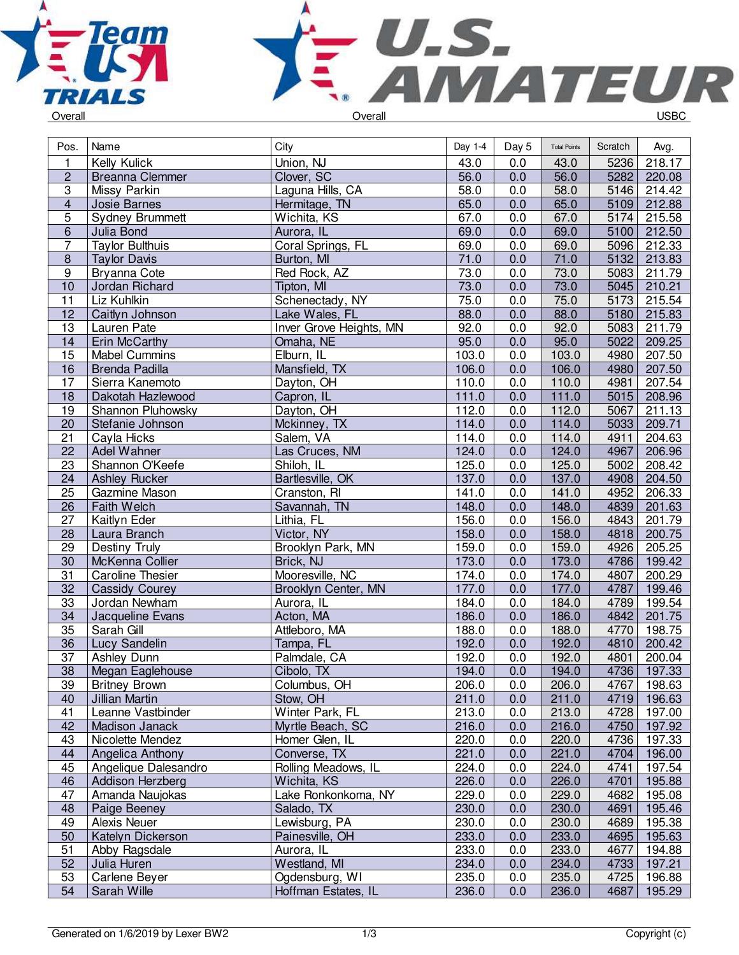



| Pos.             | Name                    | City                    | Day 1-4 | Day 5 | <b>Total Points</b> | Scratch | Avg.        |
|------------------|-------------------------|-------------------------|---------|-------|---------------------|---------|-------------|
| 1                | Kelly Kulick            | Union, NJ               | 43.0    | 0.0   | 43.0                | 5236    | 218.17      |
| $\overline{c}$   | <b>Breanna Clemmer</b>  | Clover, SC              | 56.0    | 0.0   | 56.0                | 5282    | 220.08      |
| $\overline{3}$   | Missy Parkin            | Laguna Hills, CA        | 58.0    | 0.0   | 58.0                | 5146    | 214.42      |
| $\overline{4}$   | Josie Barnes            | Hermitage, TN           | 65.0    | 0.0   | 65.0                | 5109    | 212.88      |
| $\overline{5}$   | <b>Sydney Brummett</b>  | Wichita, KS             | 67.0    | 0.0   | 67.0                | 5174    | 215.58      |
| 6                | Julia Bond              | Aurora, IL              | 69.0    | 0.0   | 69.0                | 5100    | 212.50      |
| $\overline{7}$   | <b>Taylor Bulthuis</b>  | Coral Springs, FL       | 69.0    | 0.0   | 69.0                | 5096    | 212.33      |
| $\overline{8}$   | <b>Taylor Davis</b>     | Burton, MI              | 71.0    | 0.0   | 71.0                | 5132    | 213.83      |
| $\boldsymbol{9}$ | Bryanna Cote            | Red Rock, AZ            | 73.0    | 0.0   | 73.0                | 5083    | 211.79      |
| 10               | Jordan Richard          | Tipton, MI              | 73.0    | 0.0   | 73.0                | 5045    | 210.21      |
| 11               | Liz Kuhlkin             | Schenectady, NY         | 75.0    | 0.0   | 75.0                | 5173    | 215.54      |
| 12               | Caitlyn Johnson         | Lake Wales, FL          | 88.0    | 0.0   | 88.0                | 5180    | 215.83      |
| 13               | Lauren Pate             | Inver Grove Heights, MN | 92.0    | 0.0   | 92.0                | 5083    | 211.79      |
| 14               | Erin McCarthy           | Omaha, NE               | 95.0    | 0.0   | 95.0                | 5022    | 209.25      |
| 15               | <b>Mabel Cummins</b>    | Elburn, IL              | 103.0   | 0.0   | 103.0               | 4980    | 207.50      |
| 16               | <b>Brenda Padilla</b>   | Mansfield, TX           | 106.0   | 0.0   | 106.0               | 4980    | 207.50      |
| $\overline{17}$  | Sierra Kanemoto         | Dayton, OH              | 110.0   | 0.0   | 110.0               | 4981    | 207.54      |
| 18               | Dakotah Hazlewood       | Capron, IL              | 111.0   | 0.0   | 111.0               | 5015    | 208.96      |
| 19               | Shannon Pluhowsky       | Dayton, OH              | 112.0   | 0.0   | 112.0               | 5067    | 211.13      |
| 20               | Stefanie Johnson        | Mckinney, TX            | 114.0   | 0.0   | 114.0               | 5033    | 209.71      |
| 21               | Cayla Hicks             | Salem, VA               | 114.0   | 0.0   | 114.0               | 4911    | 204.63      |
| 22               | Adel Wahner             | Las Cruces, NM          | 124.0   | 0.0   | 124.0               | 4967    | 206.96      |
| 23               | Shannon O'Keefe         | Shiloh, IL              | 125.0   | 0.0   | 125.0               | 5002    | 208.42      |
| $\overline{24}$  | <b>Ashley Rucker</b>    | Bartlesville, OK        | 137.0   | 0.0   | 137.0               | 4908    | 204.50      |
| 25               | Gazmine Mason           | Cranston, RI            | 141.0   | 0.0   | 141.0               | 4952    | 206.33      |
| 26               | Faith Welch             | Savannah, TN            | 148.0   | 0.0   | 148.0               | 4839    | 201.63      |
| 27               | Kaitlyn Eder            | Lithia, FL              | 156.0   | 0.0   | 156.0               | 4843    | 201.79      |
| 28               | Laura Branch            | Victor, NY              | 158.0   | 0.0   | 158.0               |         | 4818 200.75 |
| 29               | <b>Destiny Truly</b>    | Brooklyn Park, MN       | 159.0   | 0.0   | 159.0               | 4926    | 205.25      |
| 30               | McKenna Collier         | Brick, NJ               | 173.0   | 0.0   | 173.0               | 4786    | 199.42      |
| 31               | <b>Caroline Thesier</b> | Mooresville, NC         | 174.0   | 0.0   | 174.0               | 4807    | 200.29      |
| 32               | <b>Cassidy Courey</b>   | Brooklyn Center, MN     | 177.0   | 0.0   | 177.0               | 4787    | 199.46      |
| 33               | Jordan Newham           | Aurora, IL              | 184.0   | 0.0   | 184.0               | 4789    | 199.54      |
| 34               | Jacqueline Evans        | Acton, MA               | 186.0   | 0.0   | 186.0               | 4842    | 201.75      |
| 35               | Sarah Gill              | Attleboro, MA           | 188.0   | 0.0   | 188.0               | 4770    | 198.75      |
| 36               | Lucy Sandelin           | Tampa, FL               | 192.0   | 0.0   | 192.0               | 4810    | 200.42      |
| 37               | Ashley Dunn             | Palmdale, CA            | 192.0   | 0.0   | 192.0               | 4801    | 200.04      |
| $\overline{38}$  | Megan Eaglehouse        | Cibolo, TX              | 194.0   | 0.0   | 194.0               | 4736    | 197.33      |
| 39               | <b>Britney Brown</b>    | Columbus, OH            | 206.0   | 0.0   | 206.0               |         | 4767 198.63 |
| 40               | Jillian Martin          | Stow, OH                | 211.0   | 0.0   | 211.0               | 4719    | 196.63      |
| 41               | Leanne Vastbinder       | Winter Park, FL         | 213.0   | 0.0   | 213.0               | 4728    | 197.00      |
| 42               | Madison Janack          | Myrtle Beach, SC        | 216.0   | 0.0   | 216.0               | 4750    | 197.92      |
| 43               | Nicolette Mendez        | Homer Glen, IL          | 220.0   | 0.0   | 220.0               | 4736    | 197.33      |
| 44               | Angelica Anthony        | Converse, TX            | 221.0   | 0.0   | 221.0               | 4704    | 196.00      |
| 45               | Angelique Dalesandro    | Rolling Meadows, IL     | 224.0   | 0.0   | 224.0               | 4741    | 197.54      |
| 46               | Addison Herzberg        | Wichita, KS             | 226.0   | 0.0   | 226.0               | 4701    | 195.88      |
| 47               | Amanda Naujokas         | Lake Ronkonkoma, NY     | 229.0   | 0.0   | 229.0               | 4682    | 195.08      |
| 48               | Paige Beeney            | Salado, TX              | 230.0   | 0.0   | 230.0               | 4691    | 195.46      |
| 49               | Alexis Neuer            | Lewisburg, PA           | 230.0   | 0.0   | 230.0               | 4689    | 195.38      |
| 50               | Katelyn Dickerson       | Painesville, OH         | 233.0   | 0.0   | 233.0               | 4695    | 195.63      |
| 51               | Abby Ragsdale           | Aurora, IL              | 233.0   | 0.0   | 233.0               | 4677    | 194.88      |
| 52               | Julia Huren             | Westland, MI            | 234.0   | 0.0   | 234.0               | 4733    | 197.21      |
| 53               | Carlene Beyer           | Ogdensburg, WI          | 235.0   | 0.0   | 235.0               | 4725    | 196.88      |
| $\overline{54}$  | Sarah Wille             | Hoffman Estates, IL     | 236.0   | 0.0   | 236.0               | 4687    | 195.29      |
|                  |                         |                         |         |       |                     |         |             |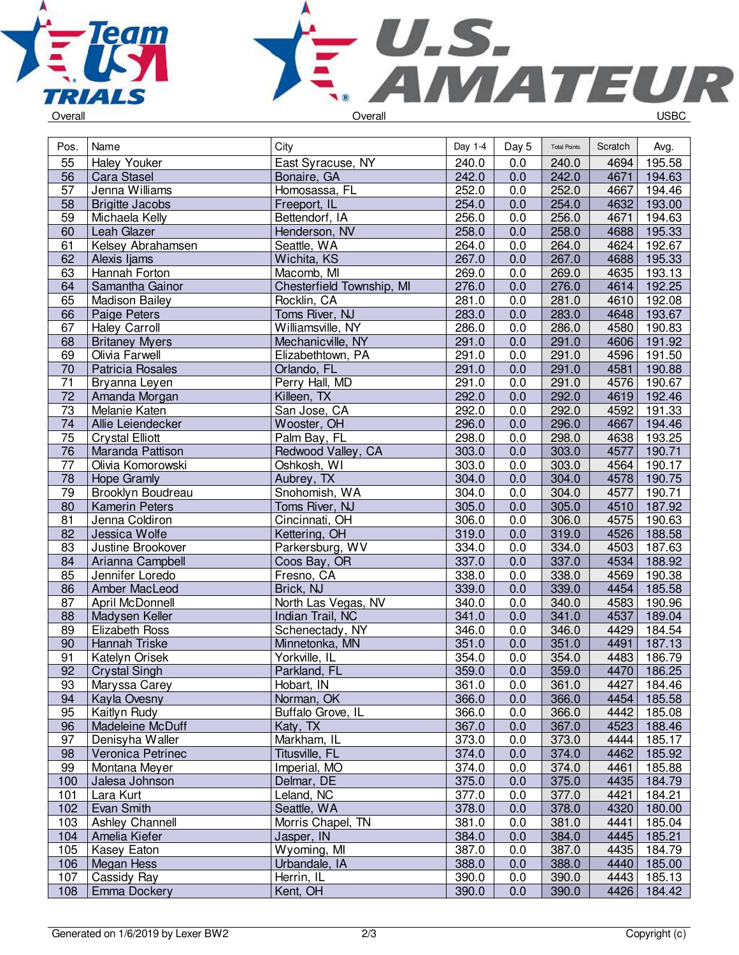



| Pos.            | Name                    | City                      | Day 1-4 | Day 5 | <b>Total Points</b> | Scratch | Avg.        |
|-----------------|-------------------------|---------------------------|---------|-------|---------------------|---------|-------------|
| 55              | <b>Haley Youker</b>     | East Syracuse, NY         | 240.0   | 0.0   | 240.0               | 4694    | 195.58      |
| 56              | Cara Stasel             | Bonaire, GA               | 242.0   | 0.0   | 242.0               | 4671    | 194.63      |
| $\overline{57}$ | Jenna Williams          | Homosassa, FL             | 252.0   | 0.0   | 252.0               | 4667    | 194.46      |
| 58              | <b>Brigitte Jacobs</b>  | Freeport, IL              | 254.0   | 0.0   | 254.0               | 4632    | 193.00      |
| 59              | Michaela Kelly          | Bettendorf, IA            | 256.0   | 0.0   | 256.0               | 4671    | 194.63      |
| 60              | Leah Glazer             | Henderson, NV             | 258.0   | 0.0   | 258.0               | 4688    | 195.33      |
| 61              | Kelsey Abrahamsen       | Seattle, WA               | 264.0   | 0.0   | 264.0               | 4624    | 192.67      |
| 62              | Alexis Ijams            | Wichita, KS               | 267.0   | 0.0   | 267.0               | 4688    | 195.33      |
| 63              | Hannah Forton           | Macomb, MI                | 269.0   | 0.0   | 269.0               | 4635    | 193.13      |
| 64              | Samantha Gainor         | Chesterfield Township, MI | 276.0   | 0.0   | 276.0               | 4614    | 192.25      |
| 65              | <b>Madison Bailey</b>   | Rocklin, CA               | 281.0   | 0.0   | 281.0               | 4610    | 192.08      |
| 66              | Paige Peters            | Toms River, NJ            | 283.0   | 0.0   | 283.0               | 4648    | 193.67      |
| 67              | <b>Haley Carroll</b>    | Williamsville, NY         | 286.0   | 0.0   | 286.0               | 4580    | 190.83      |
| 68              | <b>Britaney Myers</b>   | Mechanicville, NY         | 291.0   | 0.0   | 291.0               | 4606    | 191.92      |
| 69              | Olivia Farwell          | Elizabethtown, PA         | 291.0   | 0.0   | 291.0               | 4596    | 191.50      |
| 70              | <b>Patricia Rosales</b> | Orlando, FL               | 291.0   | 0.0   | 291.0               | 4581    | 190.88      |
| $\overline{71}$ | Bryanna Leyen           | Perry Hall, MD            | 291.0   | 0.0   | 291.0               | 4576    | 190.67      |
| $\overline{72}$ | Amanda Morgan           | Killeen, TX               | 292.0   | 0.0   | 292.0               |         | 4619 192.46 |
| 73              | Melanie Katen           | San Jose, CA              | 292.0   | 0.0   | 292.0               | 4592    | 191.33      |
| 74              | Allie Leiendecker       | Wooster, OH               | 296.0   | 0.0   | 296.0               | 4667    | 194.46      |
| 75              | <b>Crystal Elliott</b>  | Palm Bay, FL              | 298.0   | 0.0   | 298.0               | 4638    | 193.25      |
| 76              | Maranda Pattison        | Redwood Valley, CA        | 303.0   | 0.0   | 303.0               | 4577    | 190.71      |
| $\overline{77}$ | Olivia Komorowski       | Oshkosh, WI               | 303.0   | 0.0   | 303.0               | 4564    | 190.17      |
| $\overline{78}$ | <b>Hope Gramly</b>      | Aubrey, TX                | 304.0   | 0.0   | 304.0               | 4578    | 190.75      |
| 79              | Brooklyn Boudreau       | Snohomish, WA             | 304.0   | 0.0   | 304.0               | 4577    | 190.71      |
| 80              | <b>Kamerin Peters</b>   | Toms River, NJ            | 305.0   | 0.0   | 305.0               | 4510    | 187.92      |
| 81              | Jenna Coldiron          | Cincinnati, OH            | 306.0   | 0.0   | 306.0               | 4575    | 190.63      |
| 82              | Jessica Wolfe           | Kettering, OH             | 319.0   | 0.0   | 319.0               | 4526    | 188.58      |
| 83              | Justine Brookover       | Parkersburg, WV           | 334.0   | 0.0   | 334.0               | 4503    | 187.63      |
| 84              | Arianna Campbell        | Coos Bay, OR              | 337.0   | 0.0   | 337.0               | 4534    | 188.92      |
| 85              | Jennifer Loredo         | Fresno, CA                | 338.0   | 0.0   | 338.0               | 4569    | 190.38      |
| 86              | Amber MacLeod           | Brick, NJ                 | 339.0   | 0.0   | 339.0               | 4454    | 185.58      |
| 87              | April McDonnell         | North Las Vegas, NV       | 340.0   | 0.0   | 340.0               | 4583    | 190.96      |
| 88              | Madysen Keller          | Indian Trail, NC          | 341.0   | 0.0   | 341.0               | 4537    | 189.04      |
| 89              | <b>Elizabeth Ross</b>   | Schenectady, NY           | 346.0   | 0.0   | 346.0               | 4429    | 184.54      |
| 90              | Hannah Triske           | Minnetonka, MN            | 351.0   | 0.0   | 351.0               | 4491    | 187.13      |
| 91              | Katelyn Orisek          | Yorkville, IL             | 354.0   | 0.0   | 354.0               | 4483    | 186.79      |
| 92              | <b>Crystal Singh</b>    | Parkland, FL              | 359.0   | 0.0   | 359.0               | 4470    | 186.25      |
| 93              | Maryssa Carey           | Hobart, IN                | 361.0   | 0.0   | 361.0               |         | 4427 184.46 |
| 94              | Kayla Ovesny            | Norman, OK                | 366.0   | 0.0   | 366.0               | 4454    | 185.58      |
| 95              | Kaitlyn Rudy            | Buffalo Grove, IL         | 366.0   | 0.0   | 366.0               | 4442    | 185.08      |
| 96              | Madeleine McDuff        | Katy, TX                  | 367.0   | 0.0   | 367.0               | 4523    | 188.46      |
| 97              | Denisyha Waller         | Markham, IL               | 373.0   | 0.0   | 373.0               | 4444    | 185.17      |
| 98              | Veronica Petrinec       | Titusville, FL            | 374.0   | 0.0   | 374.0               | 4462    | 185.92      |
| 99              | Montana Meyer           | Imperial, MO              | 374.0   | 0.0   | 374.0               | 4461    | 185.88      |
| 100             | Jalesa Johnson          | Delmar, DE                | 375.0   | 0.0   | 375.0               | 4435    | 184.79      |
| 101             | Lara Kurt               | Leland, NC                | 377.0   | 0.0   | 377.0               | 4421    | 184.21      |
| 102             | Evan Smith              | Seattle, WA               | 378.0   | 0.0   | 378.0               | 4320    | 180.00      |
| 103             | Ashley Channell         | Morris Chapel, TN         | 381.0   | 0.0   | 381.0               | 4441    | 185.04      |
| 104             | Amelia Kiefer           | Jasper, IN                | 384.0   | 0.0   | 384.0               | 4445    | 185.21      |
| 105             | Kasey Eaton             | Wyoming, MI               | 387.0   | 0.0   | 387.0               | 4435    | 184.79      |
| 106             | Megan Hess              | Urbandale, IA             | 388.0   | 0.0   | 388.0               | 4440    | 185.00      |
| 107             | Cassidy Ray             | Herrin, IL                | 390.0   | 0.0   | 390.0               | 4443    | 185.13      |
| 108             | Emma Dockery            | Kent, OH                  | 390.0   | 0.0   | 390.0               | 4426    | 184.42      |
|                 |                         |                           |         |       |                     |         |             |